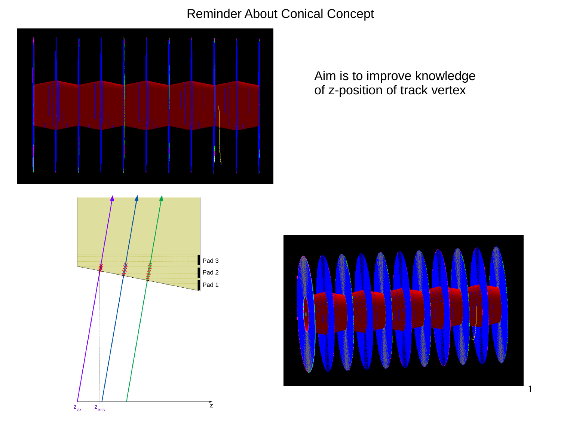Reminder About Conical Concept



Aim is to improve knowledge of z-position of track vertex



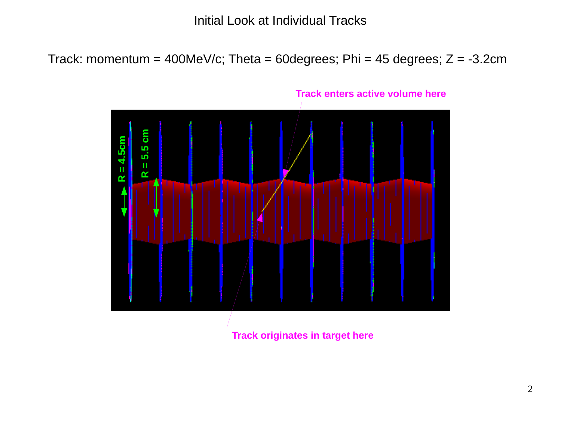# Initial Look at Individual Tracks

Track: momentum = 400MeV/c; Theta = 60degrees; Phi = 45 degrees;  $Z = -3.2$ cm



**Track originates in target here**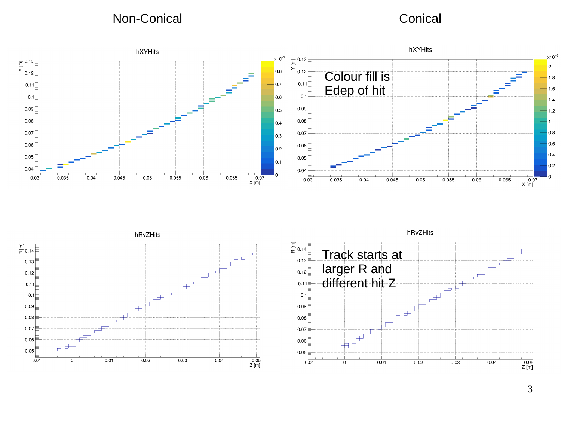Non-Conical Conical Conical Conical Conical Conical Conical Conical Conical Conical Conical Conical Conical Conical Conical Conical Conical Conical Conical Conical Conical Conical Conical Conical Conical Conical Conical Co





hRvZHits

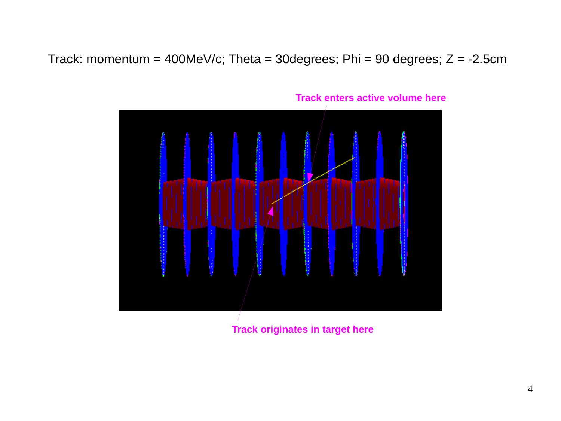Track: momentum = 400MeV/c; Theta = 30degrees; Phi = 90 degrees;  $Z = -2.5$ cm



**Track enters active volume here**

**Track originates in target here**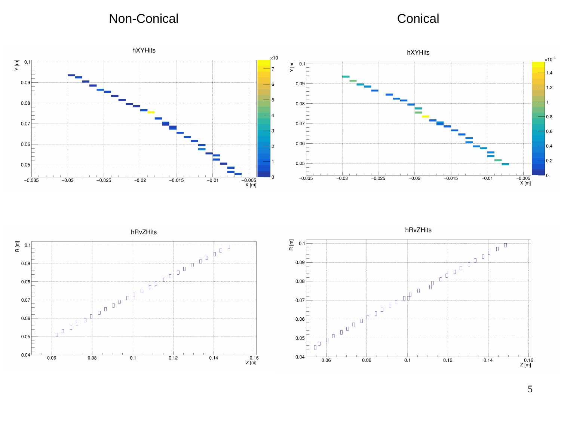Non-Conical and Conical Conical Conical Conical Conical Conical Conical Conical Conical Conical Conical Conical Conical Conical Conical Conical Conical Conical Conical Conical Conical Conical Conical Conical Conical Conica





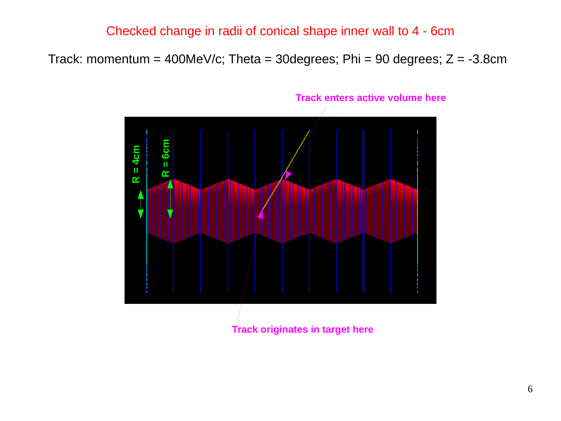## Checked change in radii of conical shape inner wall to 4 - 6cm

Track: momentum = 400MeV/c; Theta = 30degrees; Phi = 90 degrees;  $Z = -3.8$ cm



#### **Track enters active volume here**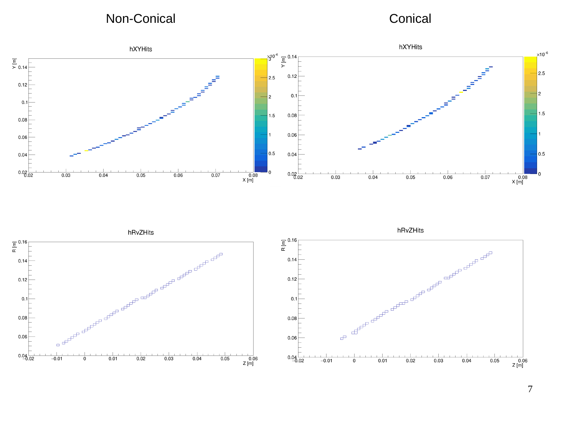Non-Conical Conical Conical Conical Conical Conical Conical Conical Conical Conical Conical Conical Conical Conical Conical Conical Conical Conical Conical Conical Conical Conical Conical Conical Conical Conical Conical Co





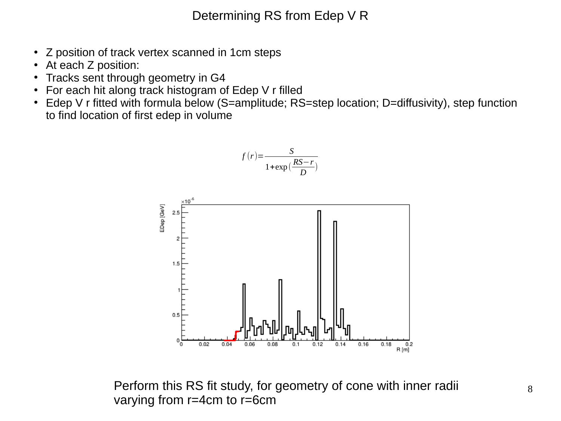Determining RS from Edep V R

- Z position of track vertex scanned in 1cm steps
- At each Z position:
- Tracks sent through geometry in G4
- For each hit along track histogram of Edep V r filled
- Edep V r fitted with formula below (S=amplitude; RS=step location; D=diffusivity), step function to find location of first edep in volume



Perform this RS fit study, for geometry of cone with inner radii varying from r=4cm to r=6cm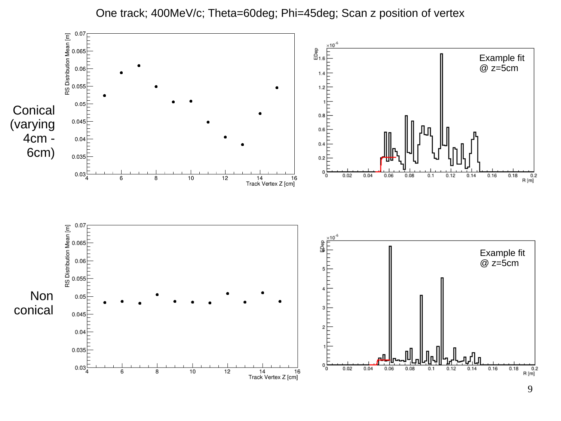

### One track; 400MeV/c; Theta=60deg; Phi=45deg; Scan z position of vertex

9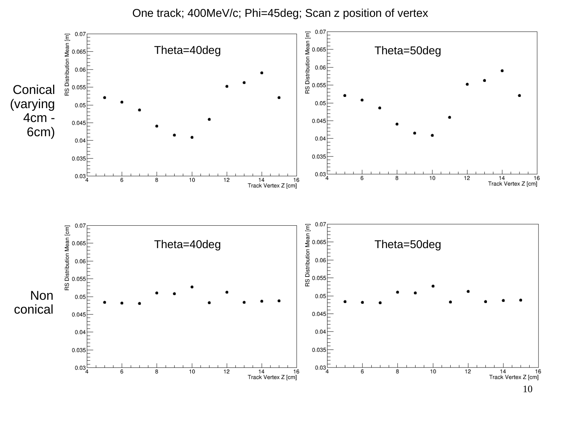One track; 400MeV/c; Phi=45deg; Scan z position of vertex

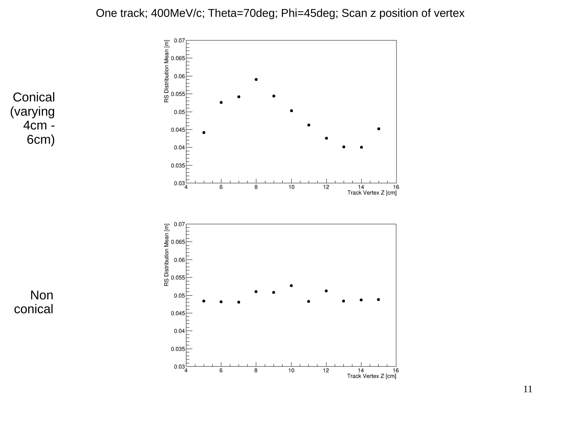### One track; 400MeV/c; Theta=70deg; Phi=45deg; Scan z position of vertex





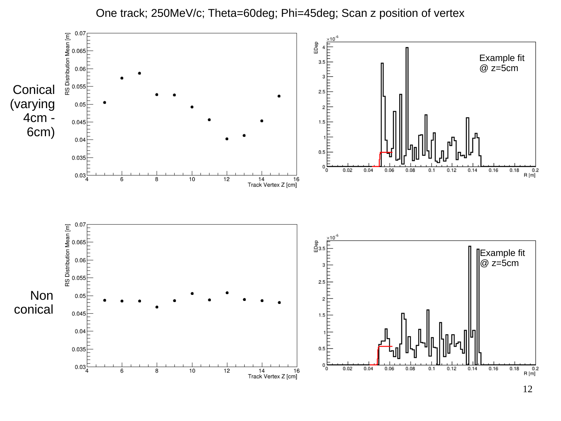

#### One track; 250MeV/c; Theta=60deg; Phi=45deg; Scan z position of vertex

12